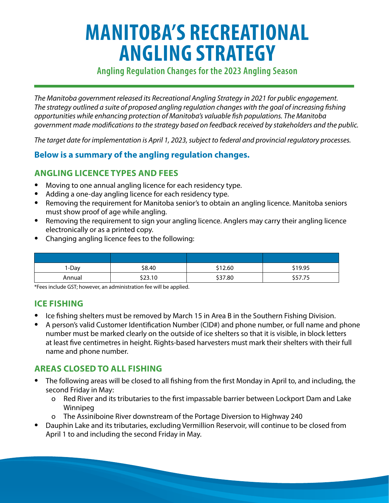# **MANITOBA'S RECREATIONAL ANGLING STRATEGY**

# **Angling Regulation Changes for the 2023 Angling Season**

*The Manitoba government released its Recreational Angling Strategy in 2021 for public engagement. The strategy outlined a suite of proposed angling regulation changes with the goal of increasing fishing opportunities while enhancing protection of Manitoba's valuable fish populations. The Manitoba government made modifications to the strategy based on feedback received by stakeholders and the public.* 

*The target date for implementation is April 1, 2023, subject to federal and provincial regulatory processes.* 

# **Below is a summary of the angling regulation changes.**

# **ANGLING LICENCE TYPES AND FEES**

- Moving to one annual angling licence for each residency type.
- Adding a one-day angling licence for each residency type.
- Removing the requirement for Manitoba senior's to obtain an angling licence. Manitoba seniors must show proof of age while angling.
- Removing the requirement to sign your angling licence. Anglers may carry their angling licence electronically or as a printed copy.
- Changing angling licence fees to the following:

| 1-Day  | \$8.40  | \$12.60 | \$19.95 |
|--------|---------|---------|---------|
| Annual | \$23.10 | \$37.80 | \$57.75 |

\*Fees include GST; however, an administration fee will be applied.

#### **ICE FISHING**

- Ice fishing shelters must be removed by March 15 in Area B in the Southern Fishing Division.
- A person's valid Customer Identification Number (CID#) and phone number, or full name and phone number must be marked clearly on the outside of ice shelters so that it is visible, in block letters at least five centimetres in height. Rights-based harvesters must mark their shelters with their full name and phone number.

# **AREAS CLOSED TO ALL FISHING**

- The following areas will be closed to all fishing from the first Monday in April to, and including, the second Friday in May:
	- o R ed River and its tributaries to the first impassable barrier between Lockport Dam and Lake Winnipeg
	- o T he Assiniboine River downstream of the Portage Diversion to Highway 240
- Dauphin Lake and its tributaries, excluding Vermillion Reservoir, will continue to be closed from April 1 to and including the second Friday in May.